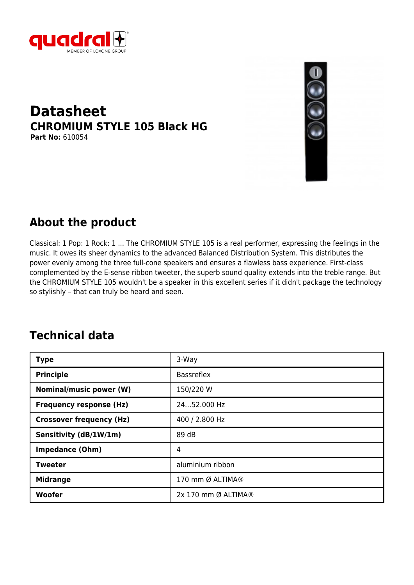

#### **Datasheet CHROMIUM STYLE 105 Black HG Part No:** 610054



### **About the product**

Classical: 1 Pop: 1 Rock: 1 ... The CHROMIUM STYLE 105 is a real performer, expressing the feelings in the music. It owes its sheer dynamics to the advanced Balanced Distribution System. This distributes the power evenly among the three full-cone speakers and ensures a flawless bass experience. First-class complemented by the E-sense ribbon tweeter, the superb sound quality extends into the treble range. But the CHROMIUM STYLE 105 wouldn't be a speaker in this excellent series if it didn't package the technology so stylishly – that can truly be heard and seen.

## **Technical data**

| <b>Type</b>                     | 3-Way               |
|---------------------------------|---------------------|
| <b>Principle</b>                | <b>Bassreflex</b>   |
| <b>Nominal/music power (W)</b>  | 150/220 W           |
| <b>Frequency response (Hz)</b>  | 2452.000 Hz         |
| <b>Crossover frequency (Hz)</b> | 400 / 2.800 Hz      |
| Sensitivity (dB/1W/1m)          | 89 dB               |
| <b>Impedance (Ohm)</b>          | 4                   |
| <b>Tweeter</b>                  | aluminium ribbon    |
| <b>Midrange</b>                 | 170 mm Ø ALTIMA®    |
| Woofer                          | 2x 170 mm Ø ALTIMA® |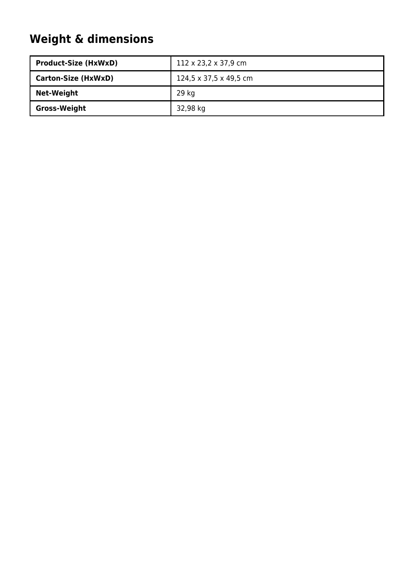# **Weight & dimensions**

| <b>Product-Size (HxWxD)</b> | $112 \times 23,2 \times 37,9$ cm |
|-----------------------------|----------------------------------|
| <b>Carton-Size (HxWxD)</b>  | 124,5 x 37,5 x 49,5 cm           |
| <b>Net-Weight</b>           | 29 kg                            |
| <b>Gross-Weight</b>         | 32,98 kg                         |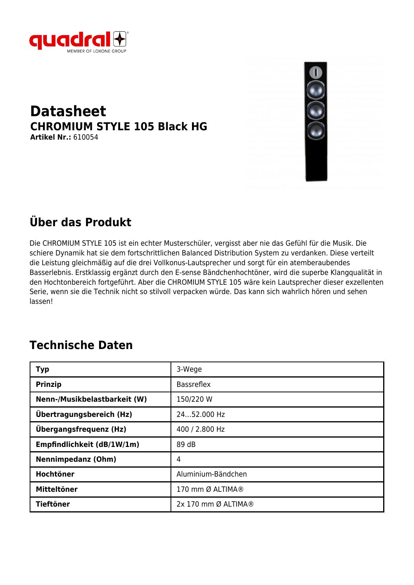

#### **Datasheet CHROMIUM STYLE 105 Black HG Artikel Nr.:** 610054



## **Über das Produkt**

Die CHROMIUM STYLE 105 ist ein echter Musterschüler, vergisst aber nie das Gefühl für die Musik. Die schiere Dynamik hat sie dem fortschrittlichen Balanced Distribution System zu verdanken. Diese verteilt die Leistung gleichmäßig auf die drei Vollkonus-Lautsprecher und sorgt für ein atemberaubendes Basserlebnis. Erstklassig ergänzt durch den E-sense Bändchenhochtöner, wird die superbe Klangqualität in den Hochtonbereich fortgeführt. Aber die CHROMIUM STYLE 105 wäre kein Lautsprecher dieser exzellenten Serie, wenn sie die Technik nicht so stilvoll verpacken würde. Das kann sich wahrlich hören und sehen lassen!

### **Technische Daten**

| <b>Typ</b>                   | 3-Wege              |
|------------------------------|---------------------|
| <b>Prinzip</b>               | <b>Bassreflex</b>   |
| Nenn-/Musikbelastbarkeit (W) | 150/220 W           |
| Übertragungsbereich (Hz)     | 2452.000 Hz         |
| Übergangsfrequenz (Hz)       | 400 / 2.800 Hz      |
| Empfindlichkeit (dB/1W/1m)   | 89 dB               |
| <b>Nennimpedanz (Ohm)</b>    | 4                   |
| Hochtöner                    | Aluminium-Bändchen  |
| <b>Mitteltöner</b>           | 170 mm Ø ALTIMA®    |
| <b>Tieftöner</b>             | 2x 170 mm Ø ALTIMA® |